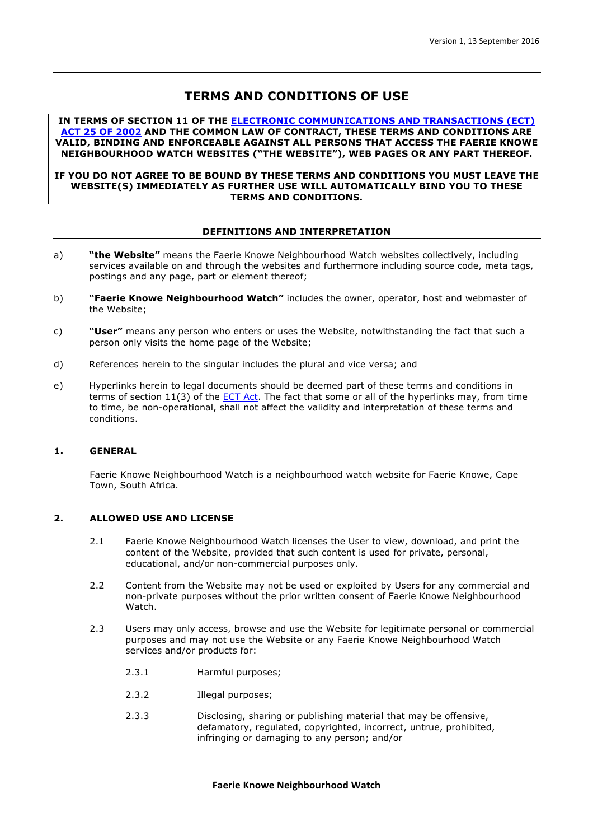# **TERMS AND CONDITIONS OF USE**

**IN TERMS OF SECTION 11 OF THE ELECTRONIC COMMUNICATIONS AND TRANSACTIONS (ECT) ACT 25 OF 2002 AND THE COMMON LAW OF CONTRACT, THESE TERMS AND CONDITIONS ARE VALID, BINDING AND ENFORCEABLE AGAINST ALL PERSONS THAT ACCESS THE FAERIE KNOWE NEIGHBOURHOOD WATCH WEBSITES ("THE WEBSITE"), WEB PAGES OR ANY PART THEREOF.**

## **IF YOU DO NOT AGREE TO BE BOUND BY THESE TERMS AND CONDITIONS YOU MUST LEAVE THE WEBSITE(S) IMMEDIATELY AS FURTHER USE WILL AUTOMATICALLY BIND YOU TO THESE TERMS AND CONDITIONS.**

# **DEFINITIONS AND INTERPRETATION**

- a) **"the Website"** means the Faerie Knowe Neighbourhood Watch websites collectively, including services available on and through the websites and furthermore including source code, meta tags, postings and any page, part or element thereof;
- b) **"Faerie Knowe Neighbourhood Watch"** includes the owner, operator, host and webmaster of the Website;
- c) **"User"** means any person who enters or uses the Website, notwithstanding the fact that such a person only visits the home page of the Website;
- d) References herein to the singular includes the plural and vice versa; and
- e) Hyperlinks herein to legal documents should be deemed part of these terms and conditions in terms of section  $11(3)$  of the **ECT Act**. The fact that some or all of the hyperlinks may, from time to time, be non-operational, shall not affect the validity and interpretation of these terms and conditions.

# **1. GENERAL**

Faerie Knowe Neighbourhood Watch is a neighbourhood watch website for Faerie Knowe, Cape Town, South Africa.

# **2. ALLOWED USE AND LICENSE**

- 2.1 Faerie Knowe Neighbourhood Watch licenses the User to view, download, and print the content of the Website, provided that such content is used for private, personal, educational, and/or non-commercial purposes only.
- 2.2 Content from the Website may not be used or exploited by Users for any commercial and non-private purposes without the prior written consent of Faerie Knowe Neighbourhood Watch.
- 2.3 Users may only access, browse and use the Website for legitimate personal or commercial purposes and may not use the Website or any Faerie Knowe Neighbourhood Watch services and/or products for:
	- 2.3.1 Harmful purposes;
	- 2.3.2 Illegal purposes;
	- 2.3.3 Disclosing, sharing or publishing material that may be offensive, defamatory, regulated, copyrighted, incorrect, untrue, prohibited, infringing or damaging to any person; and/or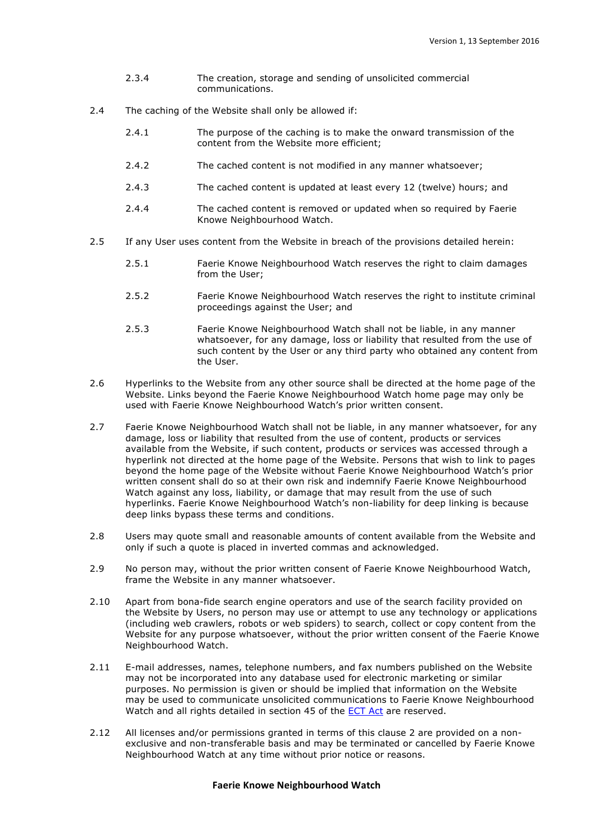- 2.3.4 The creation, storage and sending of unsolicited commercial communications.
- 2.4 The caching of the Website shall only be allowed if:
	- 2.4.1 The purpose of the caching is to make the onward transmission of the content from the Website more efficient;
	- 2.4.2 The cached content is not modified in any manner whatsoever;
	- 2.4.3 The cached content is updated at least every 12 (twelve) hours; and
	- 2.4.4 The cached content is removed or updated when so required by Faerie Knowe Neighbourhood Watch.
- 2.5 If any User uses content from the Website in breach of the provisions detailed herein:
	- 2.5.1 Faerie Knowe Neighbourhood Watch reserves the right to claim damages from the User;
	- 2.5.2 Faerie Knowe Neighbourhood Watch reserves the right to institute criminal proceedings against the User; and
	- 2.5.3 Faerie Knowe Neighbourhood Watch shall not be liable, in any manner whatsoever, for any damage, loss or liability that resulted from the use of such content by the User or any third party who obtained any content from the User.
- 2.6 Hyperlinks to the Website from any other source shall be directed at the home page of the Website. Links beyond the Faerie Knowe Neighbourhood Watch home page may only be used with Faerie Knowe Neighbourhood Watch's prior written consent.
- 2.7 Faerie Knowe Neighbourhood Watch shall not be liable, in any manner whatsoever, for any damage, loss or liability that resulted from the use of content, products or services available from the Website, if such content, products or services was accessed through a hyperlink not directed at the home page of the Website. Persons that wish to link to pages beyond the home page of the Website without Faerie Knowe Neighbourhood Watch's prior written consent shall do so at their own risk and indemnify Faerie Knowe Neighbourhood Watch against any loss, liability, or damage that may result from the use of such hyperlinks. Faerie Knowe Neighbourhood Watch's non-liability for deep linking is because deep links bypass these terms and conditions.
- 2.8 Users may quote small and reasonable amounts of content available from the Website and only if such a quote is placed in inverted commas and acknowledged.
- 2.9 No person may, without the prior written consent of Faerie Knowe Neighbourhood Watch, frame the Website in any manner whatsoever.
- 2.10 Apart from bona-fide search engine operators and use of the search facility provided on the Website by Users, no person may use or attempt to use any technology or applications (including web crawlers, robots or web spiders) to search, collect or copy content from the Website for any purpose whatsoever, without the prior written consent of the Faerie Knowe Neighbourhood Watch.
- 2.11 E-mail addresses, names, telephone numbers, and fax numbers published on the Website may not be incorporated into any database used for electronic marketing or similar purposes. No permission is given or should be implied that information on the Website may be used to communicate unsolicited communications to Faerie Knowe Neighbourhood Watch and all rights detailed in section 45 of the ECT Act are reserved.
- 2.12 All licenses and/or permissions granted in terms of this clause 2 are provided on a nonexclusive and non-transferable basis and may be terminated or cancelled by Faerie Knowe Neighbourhood Watch at any time without prior notice or reasons.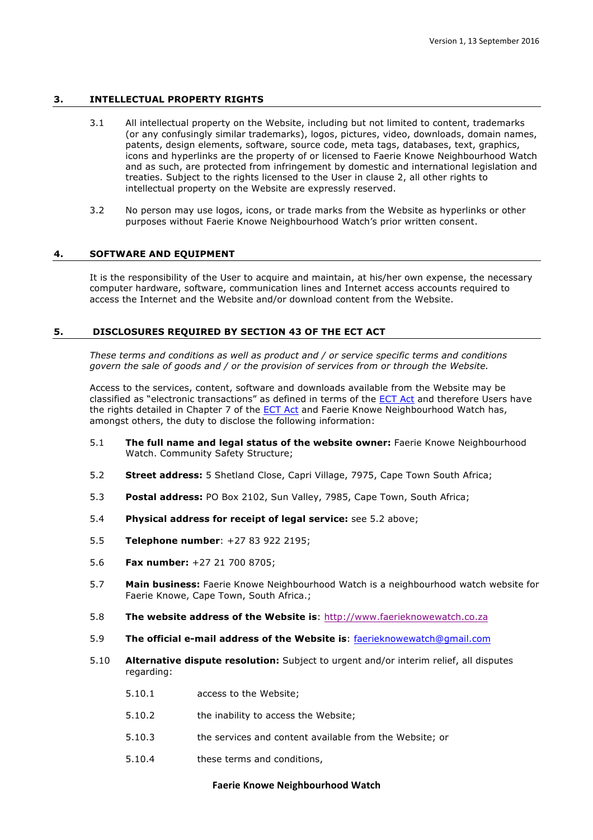# **3. INTELLECTUAL PROPERTY RIGHTS**

- 3.1 All intellectual property on the Website, including but not limited to content, trademarks (or any confusingly similar trademarks), logos, pictures, video, downloads, domain names, patents, design elements, software, source code, meta tags, databases, text, graphics, icons and hyperlinks are the property of or licensed to Faerie Knowe Neighbourhood Watch and as such, are protected from infringement by domestic and international legislation and treaties. Subject to the rights licensed to the User in clause 2, all other rights to intellectual property on the Website are expressly reserved.
- 3.2 No person may use logos, icons, or trade marks from the Website as hyperlinks or other purposes without Faerie Knowe Neighbourhood Watch's prior written consent.

## **4. SOFTWARE AND EQUIPMENT**

It is the responsibility of the User to acquire and maintain, at his/her own expense, the necessary computer hardware, software, communication lines and Internet access accounts required to access the Internet and the Website and/or download content from the Website.

## **5. DISCLOSURES REQUIRED BY SECTION 43 OF THE ECT ACT**

*These terms and conditions as well as product and / or service specific terms and conditions govern the sale of goods and / or the provision of services from or through the Website.* 

Access to the services, content, software and downloads available from the Website may be classified as "electronic transactions" as defined in terms of the ECT Act and therefore Users have the rights detailed in Chapter 7 of the ECT Act and Faerie Knowe Neighbourhood Watch has, amongst others, the duty to disclose the following information:

- 5.1 **The full name and legal status of the website owner:** Faerie Knowe Neighbourhood Watch. Community Safety Structure;
- 5.2 **Street address:** 5 Shetland Close, Capri Village, 7975, Cape Town South Africa;
- 5.3 **Postal address:** PO Box 2102, Sun Valley, 7985, Cape Town, South Africa;
- 5.4 **Physical address for receipt of legal service:** see 5.2 above;
- 5.5 **Telephone number**: +27 83 922 2195;
- 5.6 **Fax number:** +27 21 700 8705;
- 5.7 **Main business:** Faerie Knowe Neighbourhood Watch is a neighbourhood watch website for Faerie Knowe, Cape Town, South Africa.;
- 5.8 **The website address of the Website is**: http://www.faerieknowewatch.co.za
- 5.9 **The official e-mail address of the Website is**: faerieknowewatch@gmail.com
- 5.10 **Alternative dispute resolution:** Subject to urgent and/or interim relief, all disputes regarding:
	- 5.10.1 access to the Website;
	- 5.10.2 the inability to access the Website;
	- 5.10.3 the services and content available from the Website; or
	- 5.10.4 these terms and conditions,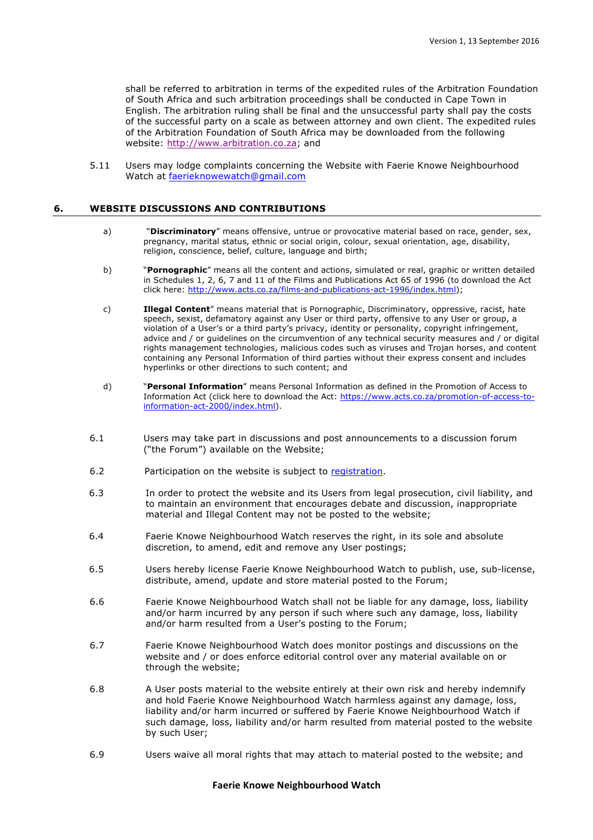shall be referred to arbitration in terms of the expedited rules of the Arbitration Foundation of South Africa and such arbitration proceedings shall be conducted in Cape Town in English. The arbitration ruling shall be final and the unsuccessful party shall pay the costs of the successful party on a scale as between attorney and own client. The expedited rules of the Arbitration Foundation of South Africa may be downloaded from the following website: http://www.arbitration.co.za; and

5.11 Users may lodge complaints concerning the Website with Faerie Knowe Neighbourhood Watch at faerieknowewatch@gmail.com

#### **6. WEBSITE DISCUSSIONS AND CONTRIBUTIONS**

- a) **"Discriminatory**" means offensive, untrue or provocative material based on race, gender, sex, pregnancy, marital status, ethnic or social origin, colour, sexual orientation, age, disability, religion, conscience, belief, culture, language and birth;
- b) "**Pornographic**" means all the content and actions, simulated or real, graphic or written detailed in Schedules 1, 2, 6, 7 and 11 of the Films and Publications Act 65 of 1996 (to download the Act click here: http://www.acts.co.za/films-and-publications-act-1996/index.html);
- c) **Illegal Content**" means material that is Pornographic, Discriminatory, oppressive, racist, hate speech, sexist, defamatory against any User or third party, offensive to any User or group, a violation of a User's or a third party's privacy, identity or personality, copyright infringement, advice and / or guidelines on the circumvention of any technical security measures and / or digital rights management technologies, malicious codes such as viruses and Trojan horses, and content containing any Personal Information of third parties without their express consent and includes hyperlinks or other directions to such content; and
- d) "**Personal Information**" means Personal Information as defined in the Promotion of Access to Information Act (click here to download the Act: https://www.acts.co.za/promotion-of-access-toinformation-act-2000/index.html).
- 6.1 Users may take part in discussions and post announcements to a discussion forum ("the Forum") available on the Website;
- 6.2 Participation on the website is subject to registration.
- 6.3 In order to protect the website and its Users from legal prosecution, civil liability, and to maintain an environment that encourages debate and discussion, inappropriate material and Illegal Content may not be posted to the website;
- 6.4 Faerie Knowe Neighbourhood Watch reserves the right, in its sole and absolute discretion, to amend, edit and remove any User postings;
- 6.5 Users hereby license Faerie Knowe Neighbourhood Watch to publish, use, sub-license, distribute, amend, update and store material posted to the Forum;
- 6.6 Faerie Knowe Neighbourhood Watch shall not be liable for any damage, loss, liability and/or harm incurred by any person if such where such any damage, loss, liability and/or harm resulted from a User's posting to the Forum;
- 6.7 Faerie Knowe Neighbourhood Watch does monitor postings and discussions on the website and / or does enforce editorial control over any material available on or through the website;
- 6.8 A User posts material to the website entirely at their own risk and hereby indemnify and hold Faerie Knowe Neighbourhood Watch harmless against any damage, loss, liability and/or harm incurred or suffered by Faerie Knowe Neighbourhood Watch if such damage, loss, liability and/or harm resulted from material posted to the website by such User;
- 6.9 Users waive all moral rights that may attach to material posted to the website; and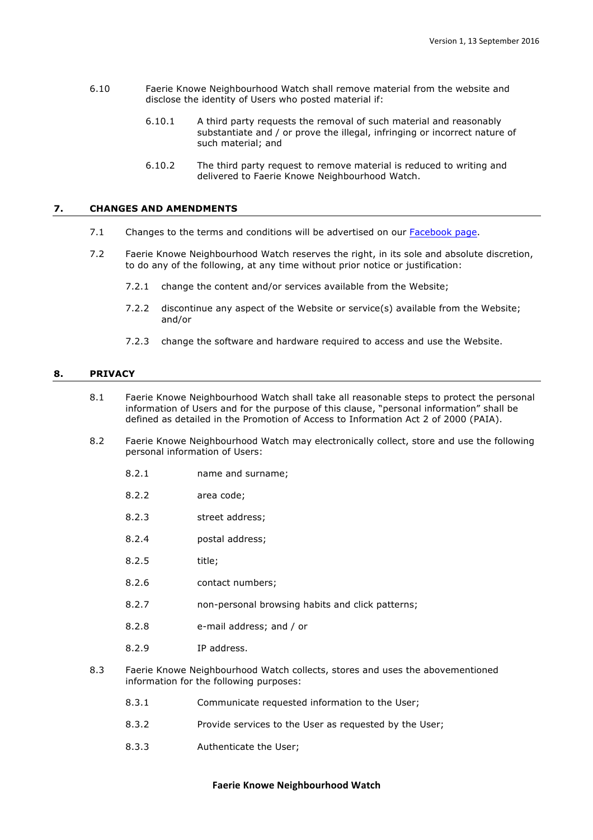- 6.10 Faerie Knowe Neighbourhood Watch shall remove material from the website and disclose the identity of Users who posted material if:
	- 6.10.1 A third party requests the removal of such material and reasonably substantiate and / or prove the illegal, infringing or incorrect nature of such material; and
	- 6.10.2 The third party request to remove material is reduced to writing and delivered to Faerie Knowe Neighbourhood Watch.

## **7. CHANGES AND AMENDMENTS**

- 7.1 Changes to the terms and conditions will be advertised on our Facebook page.
- 7.2 Faerie Knowe Neighbourhood Watch reserves the right, in its sole and absolute discretion, to do any of the following, at any time without prior notice or justification:
	- 7.2.1 change the content and/or services available from the Website;
	- 7.2.2 discontinue any aspect of the Website or service(s) available from the Website; and/or
	- 7.2.3 change the software and hardware required to access and use the Website.

## **8. PRIVACY**

- 8.1 Faerie Knowe Neighbourhood Watch shall take all reasonable steps to protect the personal information of Users and for the purpose of this clause, "personal information" shall be defined as detailed in the Promotion of Access to Information Act 2 of 2000 (PAIA).
- 8.2 Faerie Knowe Neighbourhood Watch may electronically collect, store and use the following personal information of Users:
	- 8.2.1 name and surname;
	- 8.2.2 area code;
	- 8.2.3 street address;
	- 8.2.4 postal address;
	- 8.2.5 title;
	- 8.2.6 contact numbers;
	- 8.2.7 non-personal browsing habits and click patterns;
	- 8.2.8 e-mail address; and / or
	- 8.2.9 IP address.
- 8.3 Faerie Knowe Neighbourhood Watch collects, stores and uses the abovementioned information for the following purposes:
	- 8.3.1 Communicate requested information to the User;
	- 8.3.2 Provide services to the User as requested by the User;
	- 8.3.3 Authenticate the User;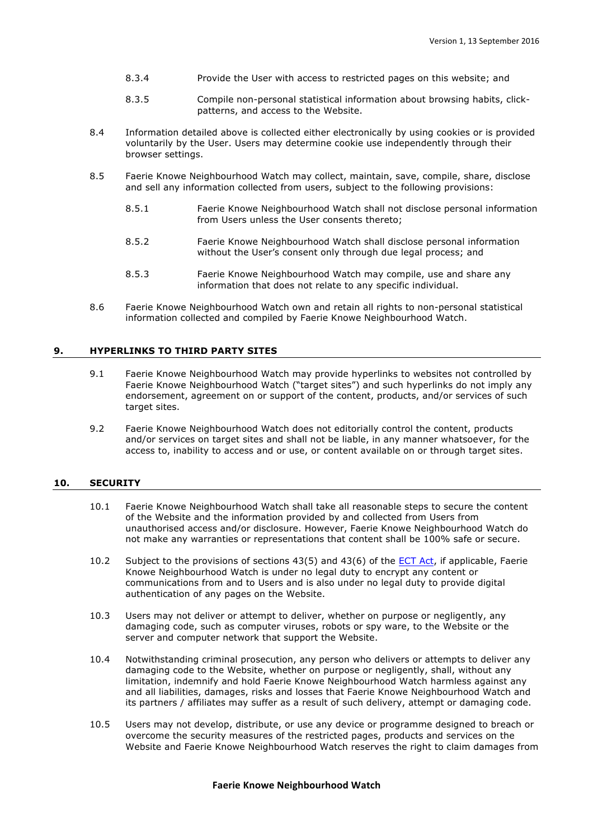- 8.3.4 Provide the User with access to restricted pages on this website; and
- 8.3.5 Compile non-personal statistical information about browsing habits, clickpatterns, and access to the Website.
- 8.4 Information detailed above is collected either electronically by using cookies or is provided voluntarily by the User. Users may determine cookie use independently through their browser settings.
- 8.5 Faerie Knowe Neighbourhood Watch may collect, maintain, save, compile, share, disclose and sell any information collected from users, subject to the following provisions:
	- 8.5.1 Faerie Knowe Neighbourhood Watch shall not disclose personal information from Users unless the User consents thereto;
	- 8.5.2 Faerie Knowe Neighbourhood Watch shall disclose personal information without the User's consent only through due legal process; and
	- 8.5.3 Faerie Knowe Neighbourhood Watch may compile, use and share any information that does not relate to any specific individual.
- 8.6 Faerie Knowe Neighbourhood Watch own and retain all rights to non-personal statistical information collected and compiled by Faerie Knowe Neighbourhood Watch.

# **9. HYPERLINKS TO THIRD PARTY SITES**

- 9.1 Faerie Knowe Neighbourhood Watch may provide hyperlinks to websites not controlled by Faerie Knowe Neighbourhood Watch ("target sites") and such hyperlinks do not imply any endorsement, agreement on or support of the content, products, and/or services of such target sites.
- 9.2 Faerie Knowe Neighbourhood Watch does not editorially control the content, products and/or services on target sites and shall not be liable, in any manner whatsoever, for the access to, inability to access and or use, or content available on or through target sites.

## **10. SECURITY**

- 10.1 Faerie Knowe Neighbourhood Watch shall take all reasonable steps to secure the content of the Website and the information provided by and collected from Users from unauthorised access and/or disclosure. However, Faerie Knowe Neighbourhood Watch do not make any warranties or representations that content shall be 100% safe or secure.
- 10.2 Subject to the provisions of sections 43(5) and 43(6) of the **ECT Act**, if applicable, Faerie Knowe Neighbourhood Watch is under no legal duty to encrypt any content or communications from and to Users and is also under no legal duty to provide digital authentication of any pages on the Website.
- 10.3 Users may not deliver or attempt to deliver, whether on purpose or negligently, any damaging code, such as computer viruses, robots or spy ware, to the Website or the server and computer network that support the Website.
- 10.4 Notwithstanding criminal prosecution, any person who delivers or attempts to deliver any damaging code to the Website, whether on purpose or negligently, shall, without any limitation, indemnify and hold Faerie Knowe Neighbourhood Watch harmless against any and all liabilities, damages, risks and losses that Faerie Knowe Neighbourhood Watch and its partners / affiliates may suffer as a result of such delivery, attempt or damaging code.
- 10.5 Users may not develop, distribute, or use any device or programme designed to breach or overcome the security measures of the restricted pages, products and services on the Website and Faerie Knowe Neighbourhood Watch reserves the right to claim damages from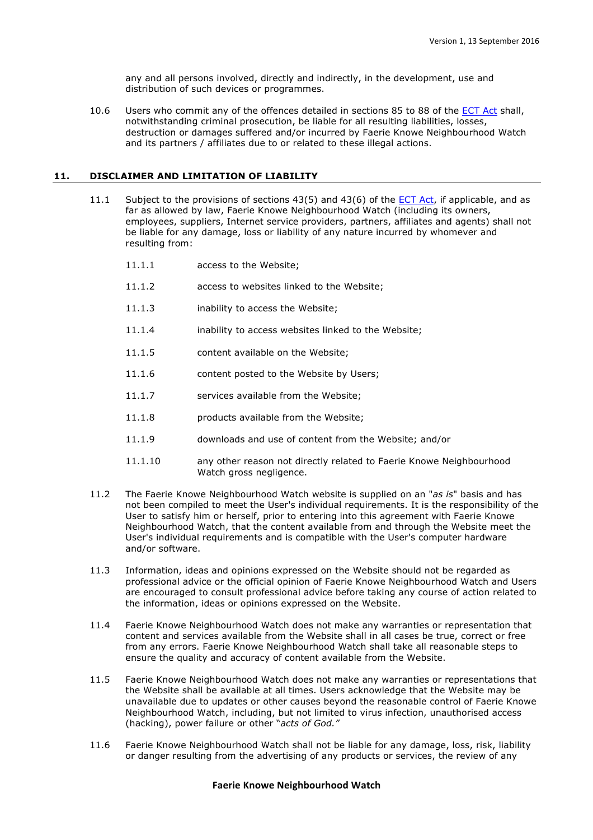any and all persons involved, directly and indirectly, in the development, use and distribution of such devices or programmes.

10.6 Users who commit any of the offences detailed in sections 85 to 88 of the ECT Act shall, notwithstanding criminal prosecution, be liable for all resulting liabilities, losses, destruction or damages suffered and/or incurred by Faerie Knowe Neighbourhood Watch and its partners / affiliates due to or related to these illegal actions.

## **11. DISCLAIMER AND LIMITATION OF LIABILITY**

- 11.1 Subject to the provisions of sections 43(5) and 43(6) of the ECT Act, if applicable, and as far as allowed by law, Faerie Knowe Neighbourhood Watch (including its owners, employees, suppliers, Internet service providers, partners, affiliates and agents) shall not be liable for any damage, loss or liability of any nature incurred by whomever and resulting from:
	- 11.1.1 access to the Website;
	- 11.1.2 access to websites linked to the Website;
	- 11.1.3 inability to access the Website;
	- 11.1.4 inability to access websites linked to the Website;
	- 11.1.5 content available on the Website;
	- 11.1.6 content posted to the Website by Users;
	- 11.1.7 services available from the Website;
	- 11.1.8 **products available from the Website;**
	- 11.1.9 downloads and use of content from the Website; and/or
	- 11.1.10 any other reason not directly related to Faerie Knowe Neighbourhood Watch gross negligence.
- 11.2 The Faerie Knowe Neighbourhood Watch website is supplied on an "*as is*" basis and has not been compiled to meet the User's individual requirements. It is the responsibility of the User to satisfy him or herself, prior to entering into this agreement with Faerie Knowe Neighbourhood Watch, that the content available from and through the Website meet the User's individual requirements and is compatible with the User's computer hardware and/or software.
- 11.3 Information, ideas and opinions expressed on the Website should not be regarded as professional advice or the official opinion of Faerie Knowe Neighbourhood Watch and Users are encouraged to consult professional advice before taking any course of action related to the information, ideas or opinions expressed on the Website.
- 11.4 Faerie Knowe Neighbourhood Watch does not make any warranties or representation that content and services available from the Website shall in all cases be true, correct or free from any errors. Faerie Knowe Neighbourhood Watch shall take all reasonable steps to ensure the quality and accuracy of content available from the Website.
- 11.5 Faerie Knowe Neighbourhood Watch does not make any warranties or representations that the Website shall be available at all times. Users acknowledge that the Website may be unavailable due to updates or other causes beyond the reasonable control of Faerie Knowe Neighbourhood Watch, including, but not limited to virus infection, unauthorised access (hacking), power failure or other "*acts of God."*
- 11.6 Faerie Knowe Neighbourhood Watch shall not be liable for any damage, loss, risk, liability or danger resulting from the advertising of any products or services, the review of any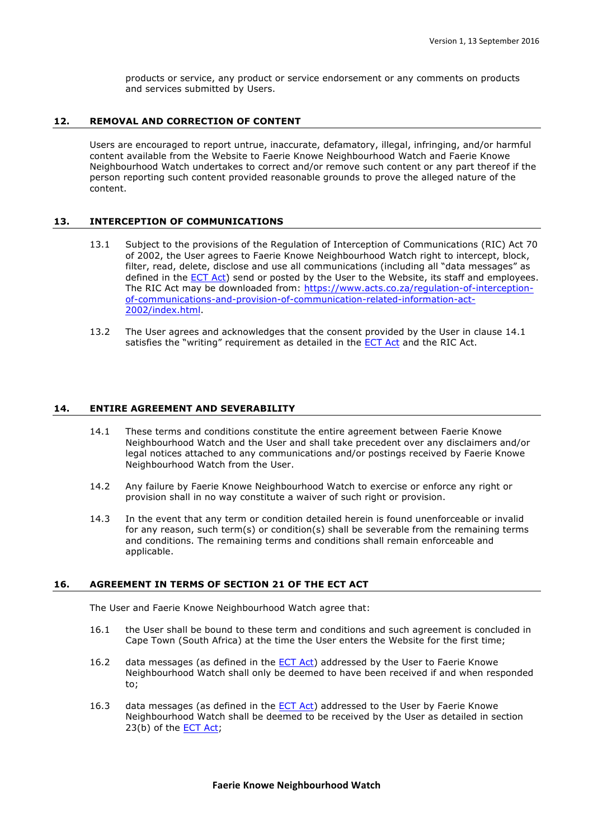products or service, any product or service endorsement or any comments on products and services submitted by Users.

## **12. REMOVAL AND CORRECTION OF CONTENT**

Users are encouraged to report untrue, inaccurate, defamatory, illegal, infringing, and/or harmful content available from the Website to Faerie Knowe Neighbourhood Watch and Faerie Knowe Neighbourhood Watch undertakes to correct and/or remove such content or any part thereof if the person reporting such content provided reasonable grounds to prove the alleged nature of the content.

# **13. INTERCEPTION OF COMMUNICATIONS**

- 13.1 Subject to the provisions of the Regulation of Interception of Communications (RIC) Act 70 of 2002, the User agrees to Faerie Knowe Neighbourhood Watch right to intercept, block, filter, read, delete, disclose and use all communications (including all "data messages" as defined in the ECT Act) send or posted by the User to the Website, its staff and employees. The RIC Act may be downloaded from: https://www.acts.co.za/regulation-of-interceptionof-communications-and-provision-of-communication-related-information-act-2002/index.html.
- 13.2 The User agrees and acknowledges that the consent provided by the User in clause 14.1 satisfies the "writing" requirement as detailed in the **ECT Act** and the RIC Act.

## **14. ENTIRE AGREEMENT AND SEVERABILITY**

- 14.1 These terms and conditions constitute the entire agreement between Faerie Knowe Neighbourhood Watch and the User and shall take precedent over any disclaimers and/or legal notices attached to any communications and/or postings received by Faerie Knowe Neighbourhood Watch from the User.
- 14.2 Any failure by Faerie Knowe Neighbourhood Watch to exercise or enforce any right or provision shall in no way constitute a waiver of such right or provision.
- 14.3 In the event that any term or condition detailed herein is found unenforceable or invalid for any reason, such term(s) or condition(s) shall be severable from the remaining terms and conditions. The remaining terms and conditions shall remain enforceable and applicable.

## **16. AGREEMENT IN TERMS OF SECTION 21 OF THE ECT ACT**

The User and Faerie Knowe Neighbourhood Watch agree that:

- 16.1 the User shall be bound to these term and conditions and such agreement is concluded in Cape Town (South Africa) at the time the User enters the Website for the first time;
- 16.2 data messages (as defined in the ECT Act) addressed by the User to Faerie Knowe Neighbourhood Watch shall only be deemed to have been received if and when responded to;
- 16.3 data messages (as defined in the ECT Act) addressed to the User by Faerie Knowe Neighbourhood Watch shall be deemed to be received by the User as detailed in section 23(b) of the ECT Act;